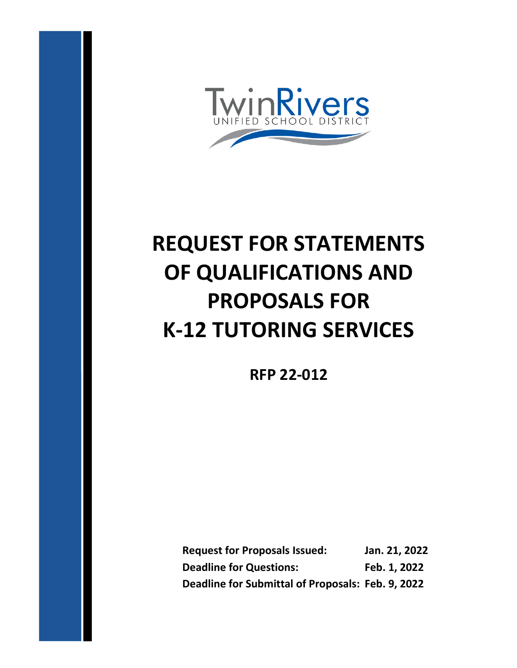

# **REQUEST FOR STATEMENTS OF QUALIFICATIONS AND PROPOSALS FOR K-12 TUTORING SERVICES**

**RFP 22-012**

**Request for Proposals Issued: Jan. 21, 2022 Deadline for Questions:** Feb. 1, 2022 **Deadline for Submittal of Proposals: Feb. 9, 2022**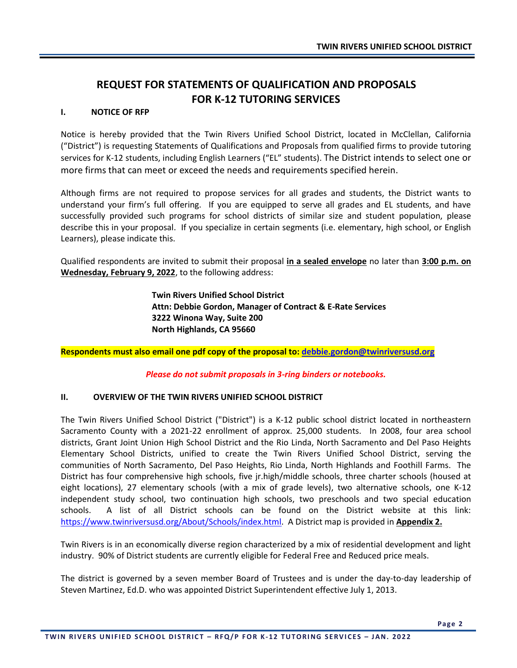## **REQUEST FOR STATEMENTS OF QUALIFICATION AND PROPOSALS FOR K-12 TUTORING SERVICES**

#### **I. NOTICE OF RFP**

Notice is hereby provided that the Twin Rivers Unified School District, located in McClellan, California ("District") is requesting Statements of Qualifications and Proposals from qualified firms to provide tutoring services for K-12 students, including English Learners ("EL" students). The District intends to select one or more firms that can meet or exceed the needs and requirements specified herein.

Although firms are not required to propose services for all grades and students, the District wants to understand your firm's full offering. If you are equipped to serve all grades and EL students, and have successfully provided such programs for school districts of similar size and student population, please describe this in your proposal. If you specialize in certain segments (i.e. elementary, high school, or English Learners), please indicate this.

Qualified respondents are invited to submit their proposal **in a sealed envelope** no later than **3:00 p.m. on Wednesday, February 9, 2022**, to the following address:

> **Twin Rivers Unified School District Attn: Debbie Gordon, Manager of Contract & E-Rate Services 3222 Winona Way, Suite 200 North Highlands, CA 95660**

**Respondents must also email one pdf copy of the proposal to: [debbie.gordon@twinriversusd.org](mailto:debbie.gordon@twinriversusd.org)**

*Please do not submit proposals in 3-ring binders or notebooks.*

#### **II. OVERVIEW OF THE TWIN RIVERS UNIFIED SCHOOL DISTRICT**

The Twin Rivers Unified School District ("District") is a K-12 public school district located in northeastern Sacramento County with a 2021-22 enrollment of approx. 25,000 students. In 2008, four area school districts, Grant Joint Union High School District and the Rio Linda, North Sacramento and Del Paso Heights Elementary School Districts, unified to create the Twin Rivers Unified School District, serving the communities of North Sacramento, Del Paso Heights, Rio Linda, North Highlands and Foothill Farms. The District has four comprehensive high schools, five jr.high/middle schools, three charter schools (housed at eight locations), 27 elementary schools (with a mix of grade levels), two alternative schools, one K-12 independent study school, two continuation high schools, two preschools and two special education schools. A list of all District schools can be found on the District website at this link: [https://www.twinriversusd.org/About/Schools/index.html.](https://www.twinriversusd.org/About/Schools/index.html) A District map is provided in **Appendix 2.**

Twin Rivers is in an economically diverse region characterized by a mix of residential development and light industry. 90% of District students are currently eligible for Federal Free and Reduced price meals.

The district is governed by a seven member Board of Trustees and is under the day-to-day leadership of Steven Martinez, Ed.D. who was appointed District Superintendent effective July 1, 2013.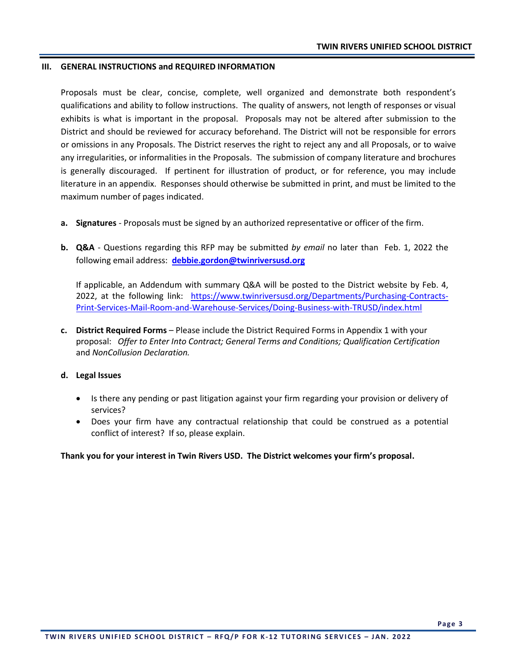#### **III. GENERAL INSTRUCTIONS and REQUIRED INFORMATION**

Proposals must be clear, concise, complete, well organized and demonstrate both respondent's qualifications and ability to follow instructions. The quality of answers, not length of responses or visual exhibits is what is important in the proposal. Proposals may not be altered after submission to the District and should be reviewed for accuracy beforehand. The District will not be responsible for errors or omissions in any Proposals. The District reserves the right to reject any and all Proposals, or to waive any irregularities, or informalities in the Proposals. The submission of company literature and brochures is generally discouraged. If pertinent for illustration of product, or for reference, you may include literature in an appendix. Responses should otherwise be submitted in print, and must be limited to the maximum number of pages indicated.

- **a. Signatures**  Proposals must be signed by an authorized representative or officer of the firm.
- **b. Q&A** Questions regarding this RFP may be submitted *by email* no later than Feb. 1, 2022 the following email address: **[debbie.gordon@twinriversusd.org](mailto:steve.martinez@twinriversusd.org)**

If applicable, an Addendum with summary Q&A will be posted to the District website by Feb. 4, 2022, at the following link: [https://www.twinriversusd.org/Departments/Purchasing-Contracts-](https://www.twinriversusd.org/Departments/Purchasing-Contracts-Print-Services-Mail-Room-and-Warehouse-Services/Doing-Business-with-TRUSD/index.html)[Print-Services-Mail-Room-and-Warehouse-Services/Doing-Business-with-TRUSD/index.html](https://www.twinriversusd.org/Departments/Purchasing-Contracts-Print-Services-Mail-Room-and-Warehouse-Services/Doing-Business-with-TRUSD/index.html)

**c. District Required Forms** – Please include the District Required Forms in Appendix 1 with your proposal: *Offer to Enter Into Contract; General Terms and Conditions; Qualification Certification* and *NonCollusion Declaration.*

#### **d. Legal Issues**

- Is there any pending or past litigation against your firm regarding your provision or delivery of services?
- Does your firm have any contractual relationship that could be construed as a potential conflict of interest? If so, please explain.

**Thank you for your interest in Twin Rivers USD. The District welcomes your firm's proposal.**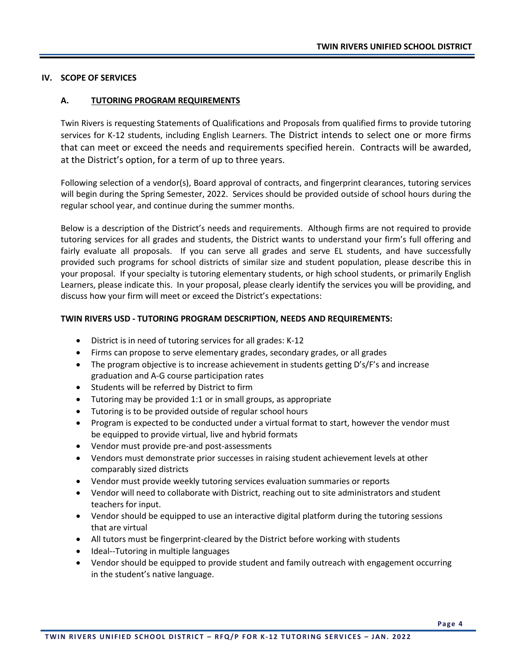#### **IV. SCOPE OF SERVICES**

#### **A. TUTORING PROGRAM REQUIREMENTS**

Twin Rivers is requesting Statements of Qualifications and Proposals from qualified firms to provide tutoring services for K-12 students, including English Learners. The District intends to select one or more firms that can meet or exceed the needs and requirements specified herein. Contracts will be awarded, at the District's option, for a term of up to three years.

Following selection of a vendor(s), Board approval of contracts, and fingerprint clearances, tutoring services will begin during the Spring Semester, 2022. Services should be provided outside of school hours during the regular school year, and continue during the summer months.

Below is a description of the District's needs and requirements. Although firms are not required to provide tutoring services for all grades and students, the District wants to understand your firm's full offering and fairly evaluate all proposals. If you can serve all grades and serve EL students, and have successfully provided such programs for school districts of similar size and student population, please describe this in your proposal. If your specialty is tutoring elementary students, or high school students, or primarily English Learners, please indicate this. In your proposal, please clearly identify the services you will be providing, and discuss how your firm will meet or exceed the District's expectations:

#### **TWIN RIVERS USD - TUTORING PROGRAM DESCRIPTION, NEEDS AND REQUIREMENTS:**

- District is in need of tutoring services for all grades: K-12
- Firms can propose to serve elementary grades, secondary grades, or all grades
- The program objective is to increase achievement in students getting D's/F's and increase graduation and A-G course participation rates
- Students will be referred by District to firm
- Tutoring may be provided 1:1 or in small groups, as appropriate
- Tutoring is to be provided outside of regular school hours
- Program is expected to be conducted under a virtual format to start, however the vendor must be equipped to provide virtual, live and hybrid formats
- Vendor must provide pre-and post-assessments
- Vendors must demonstrate prior successes in raising student achievement levels at other comparably sized districts
- Vendor must provide weekly tutoring services evaluation summaries or reports
- Vendor will need to collaborate with District, reaching out to site administrators and student teachers for input.
- Vendor should be equipped to use an interactive digital platform during the tutoring sessions that are virtual
- All tutors must be fingerprint-cleared by the District before working with students
- Ideal--Tutoring in multiple languages
- Vendor should be equipped to provide student and family outreach with engagement occurring in the student's native language.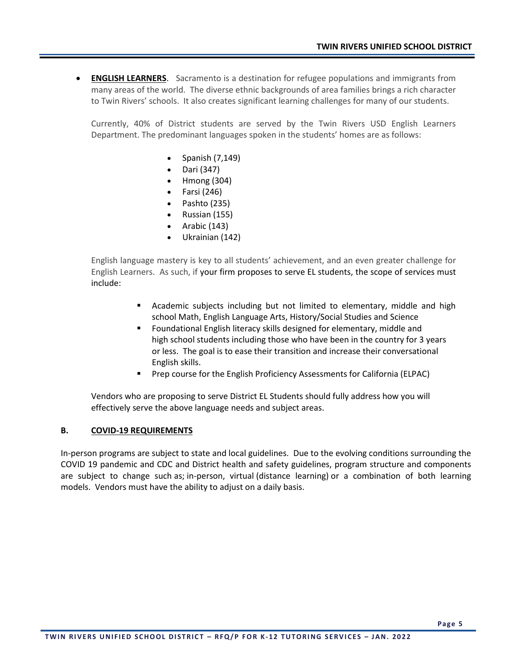• **ENGLISH LEARNERS**. Sacramento is a destination for refugee populations and immigrants from many areas of the world. The diverse ethnic backgrounds of area families brings a rich character to Twin Rivers' schools. It also creates significant learning challenges for many of our students.

Currently, 40% of District students are served by the Twin Rivers USD English Learners Department. The predominant languages spoken in the students' homes are as follows:

- Spanish (7,149)
- Dari (347)
- Hmong (304)
- Farsi (246)
- Pashto (235)
- Russian (155)
- Arabic (143)
- Ukrainian (142)

English language mastery is key to all students' achievement, and an even greater challenge for English Learners. As such, if your firm proposes to serve EL students, the scope of services must include:

- **EXED** Academic subjects including but not limited to elementary, middle and high school Math, English Language Arts, History/Social Studies and Science
- Foundational English literacy skills designed for elementary, middle and high school students including those who have been in the country for 3 years or less. The goal is to ease their transition and increase their conversational English skills.
- Prep course for the English Proficiency Assessments for California (ELPAC)

Vendors who are proposing to serve District EL Students should fully address how you will effectively serve the above language needs and subject areas.

#### **B. COVID-19 REQUIREMENTS**

In-person programs are subject to state and local guidelines. Due to the evolving conditions surrounding the COVID 19 pandemic and CDC and District health and safety guidelines, program structure and components are subject to change such as; in-person, virtual (distance learning) or a combination of both learning models. Vendors must have the ability to adjust on a daily basis.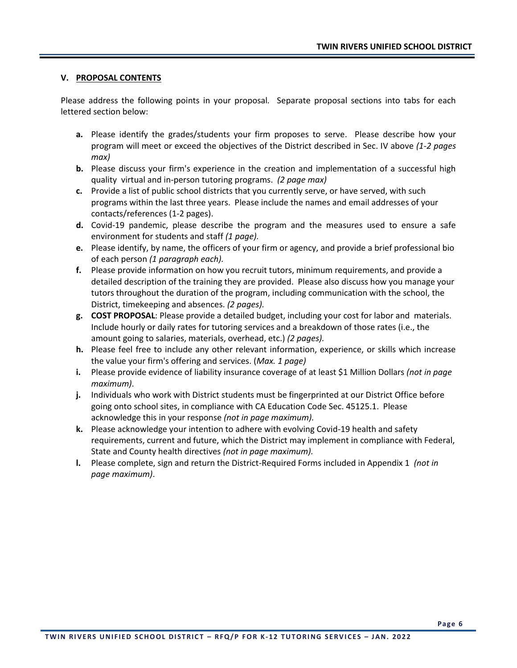#### **V. PROPOSAL CONTENTS**

Please address the following points in your proposal*.* Separate proposal sections into tabs for each lettered section below:

- **a.** Please identify the grades/students your firm proposes to serve. Please describe how your program will meet or exceed the objectives of the District described in Sec. IV above *(1-2 pages max)*
- **b.** Please discuss your firm's experience in the creation and implementation of a successful high quality virtual and in-person tutoring programs. *(2 page max)*
- **c.** Provide a list of public school districts that you currently serve, or have served, with such programs within the last three years. Please include the names and email addresses of your contacts/references (1-2 pages).
- **d.** Covid-19 pandemic, please describe the program and the measures used to ensure a safe environment for students and staff *(1 page).*
- **e.** Please identify, by name, the officers of your firm or agency, and provide a brief professional bio of each person *(1 paragraph each).*
- **f.** Please provide information on how you recruit tutors, minimum requirements, and provide a detailed description of the training they are provided. Please also discuss how you manage your tutors throughout the duration of the program, including communication with the school, the District, timekeeping and absences. *(2 pages).*
- **g. COST PROPOSAL**: Please provide a detailed budget, including your cost for labor and materials. Include hourly or daily rates for tutoring services and a breakdown of those rates (i.e., the amount going to salaries, materials, overhead, etc.) *(2 pages).*
- **h.** Please feel free to include any other relevant information, experience, or skills which increase the value your firm's offering and services. (*Max. 1 page)*
- **i.** Please provide evidence of liability insurance coverage of at least \$1 Million Dollars *(not in page maximum)*.
- **j.** Individuals who work with District students must be fingerprinted at our District Office before going onto school sites, in compliance with CA Education Code Sec. 45125.1. Please acknowledge this in your response *(not in page maximum).*
- **k.** Please acknowledge your intention to adhere with evolving Covid-19 health and safety requirements, current and future, which the District may implement in compliance with Federal, State and County health directives *(not in page maximum).*
- **l.** Please complete, sign and return the District-Required Forms included in Appendix 1 *(not in page maximum)*.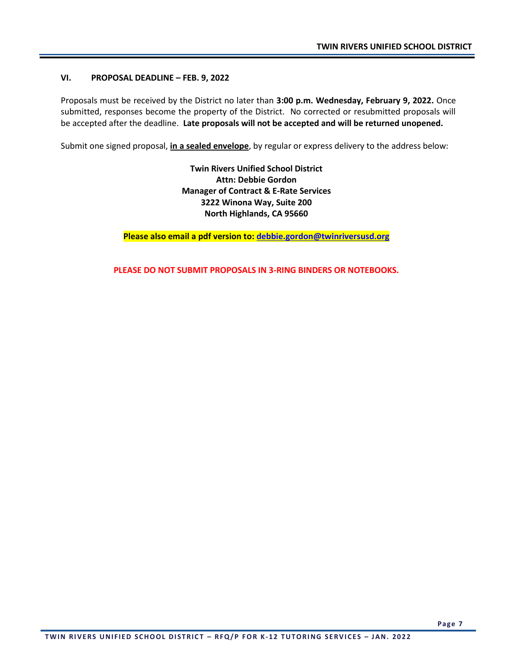#### **VI. PROPOSAL DEADLINE – FEB. 9, 2022**

Proposals must be received by the District no later than **3:00 p.m. Wednesday, February 9, 2022.** Once submitted, responses become the property of the District. No corrected or resubmitted proposals will be accepted after the deadline. **Late proposals will not be accepted and will be returned unopened.** 

Submit one signed proposal, **in a sealed envelope**, by regular or express delivery to the address below:

**Twin Rivers Unified School District Attn: Debbie Gordon Manager of Contract & E-Rate Services 3222 Winona Way, Suite 200 North Highlands, CA 95660**

**Please also email a pdf version to: [debbie.gordon@twinriversusd.org](mailto:debbie.gordon@twinriversusd.org)**

**PLEASE DO NOT SUBMIT PROPOSALS IN 3-RING BINDERS OR NOTEBOOKS.**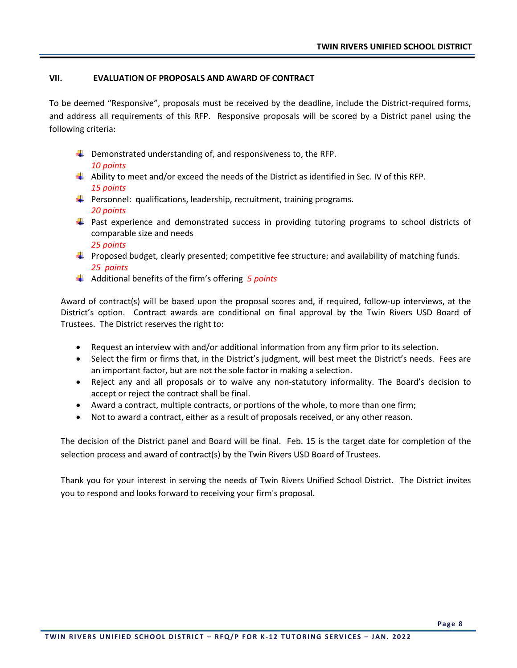#### **VII. EVALUATION OF PROPOSALS AND AWARD OF CONTRACT**

To be deemed "Responsive", proposals must be received by the deadline, include the District-required forms, and address all requirements of this RFP. Responsive proposals will be scored by a District panel using the following criteria:

- $\ddot{+}$  Demonstrated understanding of, and responsiveness to, the RFP. *10 points*
- $\downarrow$  Ability to meet and/or exceed the needs of the District as identified in Sec. IV of this RFP. *15 points*
- $\ddot{\phantom{1}}$  Personnel: qualifications, leadership, recruitment, training programs. *20 points*
- **Past experience and demonstrated success in providing tutoring programs to school districts of** comparable size and needs *25 points*
- **Proposed budget, clearly presented; competitive fee structure; and availability of matching funds.** *25 points*
- Additional benefits of the firm's offering *5 points*

Award of contract(s) will be based upon the proposal scores and, if required, follow-up interviews, at the District's option. Contract awards are conditional on final approval by the Twin Rivers USD Board of Trustees. The District reserves the right to:

- Request an interview with and/or additional information from any firm prior to its selection.
- Select the firm or firms that, in the District's judgment, will best meet the District's needs. Fees are an important factor, but are not the sole factor in making a selection.
- Reject any and all proposals or to waive any non-statutory informality. The Board's decision to accept or reject the contract shall be final.
- Award a contract, multiple contracts, or portions of the whole, to more than one firm;
- Not to award a contract, either as a result of proposals received, or any other reason.

The decision of the District panel and Board will be final. Feb. 15 is the target date for completion of the selection process and award of contract(s) by the Twin Rivers USD Board of Trustees.

Thank you for your interest in serving the needs of Twin Rivers Unified School District. The District invites you to respond and looks forward to receiving your firm's proposal.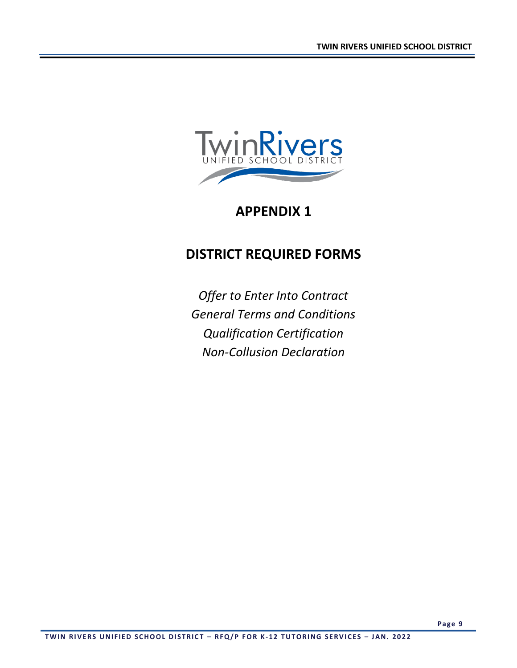

## **APPENDIX 1**

# **DISTRICT REQUIRED FORMS**

*Offer to Enter Into Contract General Terms and Conditions Qualification Certification Non-Collusion Declaration*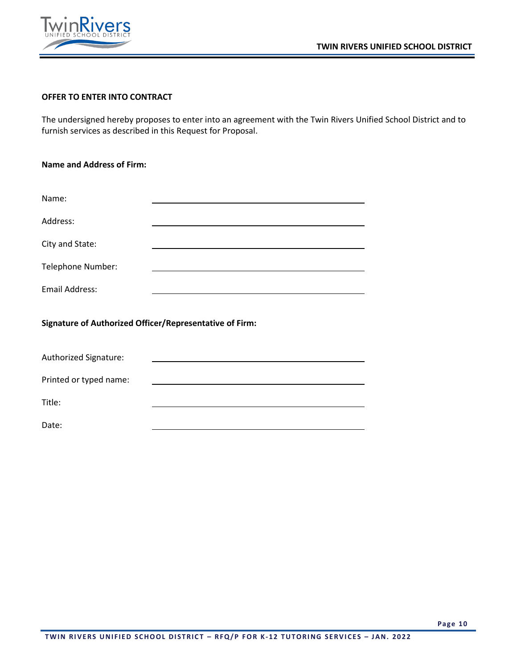



#### **OFFER TO ENTER INTO CONTRACT**

The undersigned hereby proposes to enter into an agreement with the Twin Rivers Unified School District and to furnish services as described in this Request for Proposal.

| <b>Name and Address of Firm:</b>                        |  |  |  |  |
|---------------------------------------------------------|--|--|--|--|
|                                                         |  |  |  |  |
| Name:                                                   |  |  |  |  |
| Address:                                                |  |  |  |  |
| City and State:                                         |  |  |  |  |
| Telephone Number:                                       |  |  |  |  |
| <b>Email Address:</b>                                   |  |  |  |  |
| Signature of Authorized Officer/Representative of Firm: |  |  |  |  |
| Authorized Signature:                                   |  |  |  |  |

Printed or typed name:

Title:

Date: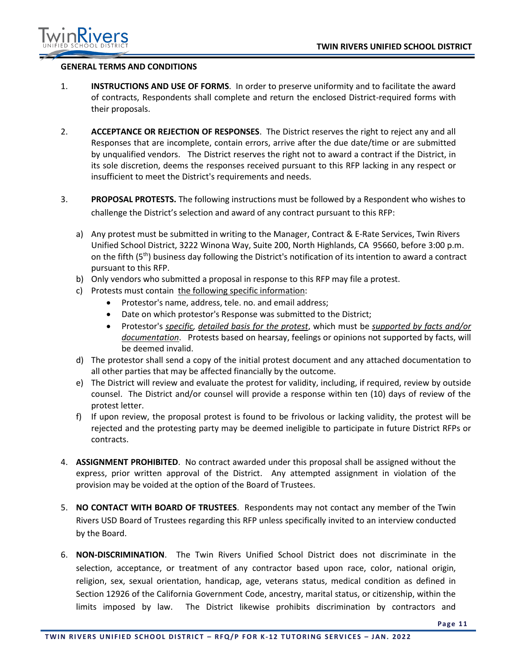

#### **GENERAL TERMS AND CONDITIONS**

- 1. **INSTRUCTIONS AND USE OF FORMS**. In order to preserve uniformity and to facilitate the award of contracts, Respondents shall complete and return the enclosed District-required forms with their proposals.
- 2. **ACCEPTANCE OR REJECTION OF RESPONSES**. The District reserves the right to reject any and all Responses that are incomplete, contain errors, arrive after the due date/time or are submitted by unqualified vendors. The District reserves the right not to award a contract if the District, in its sole discretion, deems the responses received pursuant to this RFP lacking in any respect or insufficient to meet the District's requirements and needs.
- 3. **PROPOSAL PROTESTS.** The following instructions must be followed by a Respondent who wishes to challenge the District's selection and award of any contract pursuant to this RFP:
	- a) Any protest must be submitted in writing to the Manager, Contract & E-Rate Services, Twin Rivers Unified School District, 3222 Winona Way, Suite 200, North Highlands, CA 95660, before 3:00 p.m. on the fifth (5<sup>th</sup>) business day following the District's notification of its intention to award a contract pursuant to this RFP.
	- b) Only vendors who submitted a proposal in response to this RFP may file a protest.
	- c) Protests must contain the following specific information:
		- Protestor's name, address, tele. no. and email address;
		- Date on which protestor's Response was submitted to the District;
		- Protestor's *specific, detailed basis for the protest*, which must be *supported by facts and/or documentation*. Protests based on hearsay, feelings or opinions not supported by facts, will be deemed invalid.
	- d) The protestor shall send a copy of the initial protest document and any attached documentation to all other parties that may be affected financially by the outcome.
	- e) The District will review and evaluate the protest for validity, including, if required, review by outside counsel. The District and/or counsel will provide a response within ten (10) days of review of the protest letter.
	- f) If upon review, the proposal protest is found to be frivolous or lacking validity, the protest will be rejected and the protesting party may be deemed ineligible to participate in future District RFPs or contracts.
- 4. **ASSIGNMENT PROHIBITED**. No contract awarded under this proposal shall be assigned without the express, prior written approval of the District. Any attempted assignment in violation of the provision may be voided at the option of the Board of Trustees.
- 5. **NO CONTACT WITH BOARD OF TRUSTEES**. Respondents may not contact any member of the Twin Rivers USD Board of Trustees regarding this RFP unless specifically invited to an interview conducted by the Board.
- 6. **NON-DISCRIMINATION**. The Twin Rivers Unified School District does not discriminate in the selection, acceptance, or treatment of any contractor based upon race, color, national origin, religion, sex, sexual orientation, handicap, age, veterans status, medical condition as defined in Section 12926 of the California Government Code, ancestry, marital status, or citizenship, within the limits imposed by law. The District likewise prohibits discrimination by contractors and

**Page 11**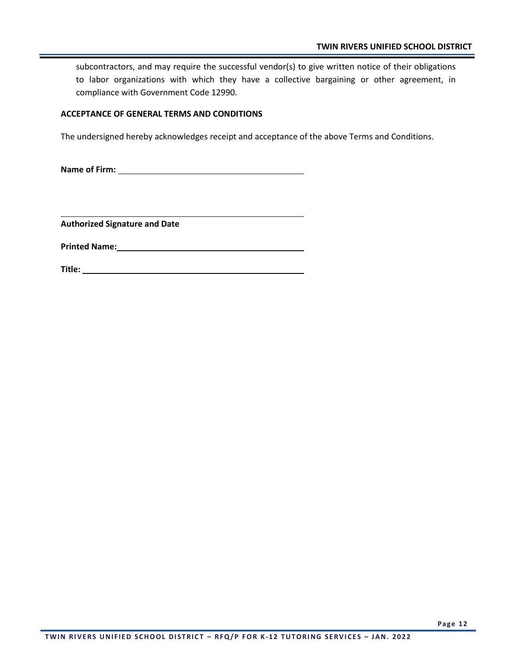subcontractors, and may require the successful vendor(s) to give written notice of their obligations to labor organizations with which they have a collective bargaining or other agreement, in compliance with Government Code 12990.

#### **ACCEPTANCE OF GENERAL TERMS AND CONDITIONS**

The undersigned hereby acknowledges receipt and acceptance of the above Terms and Conditions.

**Name of Firm:** 

**Authorized Signature and Date**

**Printed Name:**

**Title:**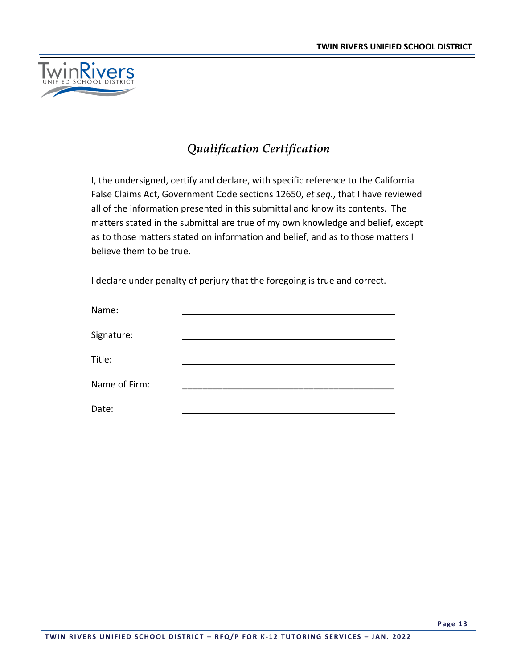

## *Qualification Certification*

I, the undersigned, certify and declare, with specific reference to the California False Claims Act, Government Code sections 12650, *et seq.*, that I have reviewed all of the information presented in this submittal and know its contents. The matters stated in the submittal are true of my own knowledge and belief, except as to those matters stated on information and belief, and as to those matters I believe them to be true.

I declare under penalty of perjury that the foregoing is true and correct.

| Name:         |  |
|---------------|--|
| Signature:    |  |
| Title:        |  |
| Name of Firm: |  |
| Date:         |  |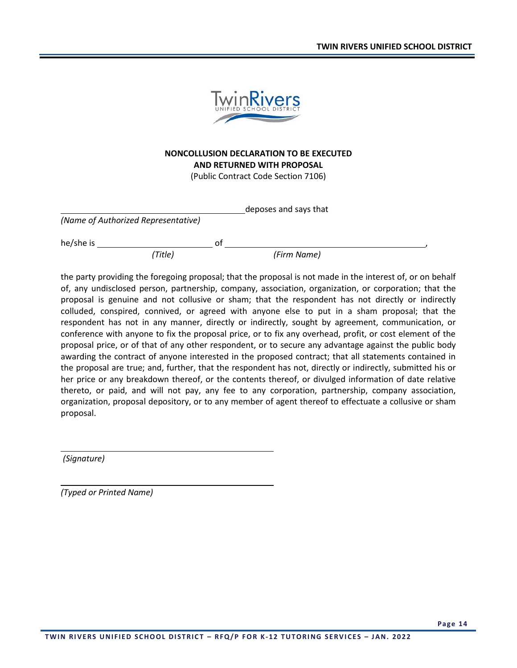

### **NONCOLLUSION DECLARATION TO BE EXECUTED AND RETURNED WITH PROPOSAL**

(Public Contract Code Section 7106)

deposes and says that

|  | (Name of Authorized Representative) |  |
|--|-------------------------------------|--|
|  |                                     |  |

he/she is of , *(Title) (Firm Name)*

the party providing the foregoing proposal; that the proposal is not made in the interest of, or on behalf of, any undisclosed person, partnership, company, association, organization, or corporation; that the proposal is genuine and not collusive or sham; that the respondent has not directly or indirectly colluded, conspired, connived, or agreed with anyone else to put in a sham proposal; that the respondent has not in any manner, directly or indirectly, sought by agreement, communication, or conference with anyone to fix the proposal price, or to fix any overhead, profit, or cost element of the proposal price, or of that of any other respondent, or to secure any advantage against the public body awarding the contract of anyone interested in the proposed contract; that all statements contained in the proposal are true; and, further, that the respondent has not, directly or indirectly, submitted his or her price or any breakdown thereof, or the contents thereof, or divulged information of date relative thereto, or paid, and will not pay, any fee to any corporation, partnership, company association, organization, proposal depository, or to any member of agent thereof to effectuate a collusive or sham proposal.

*(Signature)* 

*(Typed or Printed Name)*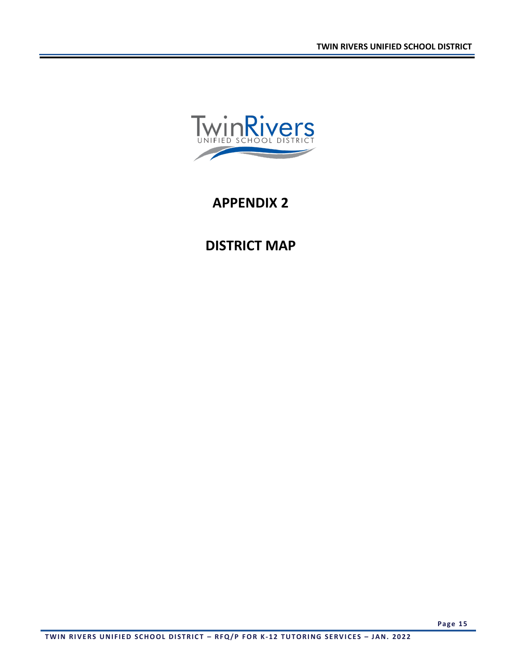

## **APPENDIX 2**

# **DISTRICT MAP**